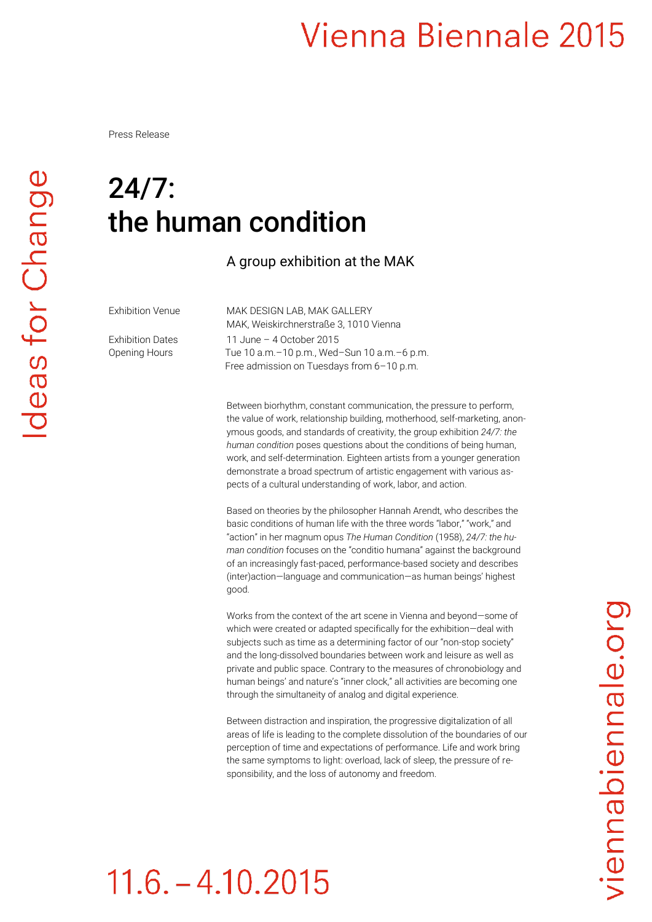Press Release

#### 24/7: the human condition

A group exhibition at the MAK

Exhibition Venue MAK DESIGN LAB, MAK GALLERY MAK, Weiskirchnerstraße 3, 1010 Vienna Exhibition Dates 11 June – 4 October 2015 Opening Hours Tue 10 a.m. - 10 p.m., Wed-Sun 10 a.m. - 6 p.m. Free admission on Tuesdays from 6–10 p.m.

> Between biorhythm, constant communication, the pressure to perform, the value of work, relationship building, motherhood, self-marketing, anonymous goods, and standards of creativity, the group exhibition *24/7: the human condition* poses questions about the conditions of being human, work, and self-determination. Eighteen artists from a younger generation demonstrate a broad spectrum of artistic engagement with various aspects of a cultural understanding of work, labor, and action.

Based on theories by the philosopher Hannah Arendt, who describes the basic conditions of human life with the three words "labor," "work," and "action" in her magnum opus *The Human Condition* (1958), *24/7: the human condition* focuses on the "conditio humana" against the background of an increasingly fast-paced, performance-based society and describes (inter)action—language and communication—as human beings' highest good.

Works from the context of the art scene in Vienna and beyond—some of which were created or adapted specifically for the exhibition—deal with subjects such as time as a determining factor of our "non-stop society" and the long-dissolved boundaries between work and leisure as well as private and public space. Contrary to the measures of chronobiology and human beings' and nature's "inner clock," all activities are becoming one through the simultaneity of analog and digital experience.

Between distraction and inspiration, the progressive digitalization of all areas of life is leading to the complete dissolution of the boundaries of our perception of time and expectations of performance. Life and work bring the same symptoms to light: overload, lack of sleep, the pressure of responsibility, and the loss of autonomy and freedom.

# viennabiennale.org

# $11.6 - 4.10.2015$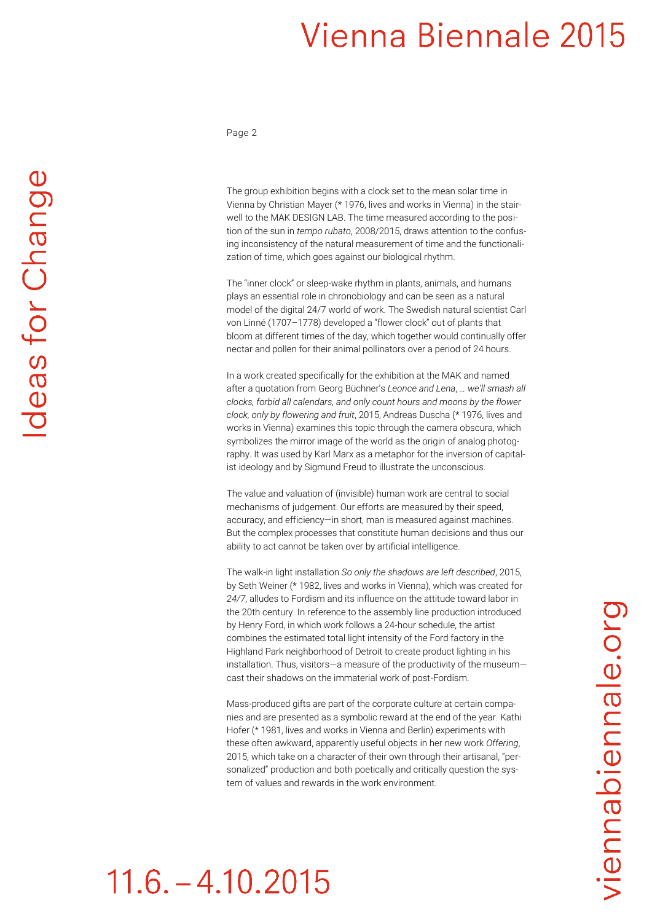Page 2

The group exhibition begins with a clock set to the mean solar time in Vienna by Christian Mayer (\* 1976, lives and works in Vienna) in the stairwell to the MAK DESIGN LAB. The time measured according to the position of the sun in *tempo rubato*, 2008/2015, draws attention to the confusing inconsistency of the natural measurement of time and the functionalization of time, which goes against our biological rhythm.

The "inner clock" or sleep-wake rhythm in plants, animals, and humans plays an essential role in chronobiology and can be seen as a natural model of the digital 24/7 world of work. The Swedish natural scientist Carl von Linné (1707–1778) developed a "flower clock" out of plants that bloom at different times of the day, which together would continually offer nectar and pollen for their animal pollinators over a period of 24 hours.

In a work created specifically for the exhibition at the MAK and named after a quotation from Georg Büchner's *Leonce and Lena*, *… we'll smash all clocks, forbid all calendars, and only count hours and moons by the flower clock, only by flowering and fruit*, 2015, Andreas Duscha (\* 1976, lives and works in Vienna) examines this topic through the camera obscura, which symbolizes the mirror image of the world as the origin of analog photography. It was used by Karl Marx as a metaphor for the inversion of capitalist ideology and by Sigmund Freud to illustrate the unconscious.

The value and valuation of (invisible) human work are central to social mechanisms of judgement. Our efforts are measured by their speed, accuracy, and efficiency—in short, man is measured against machines. But the complex processes that constitute human decisions and thus our ability to act cannot be taken over by artificial intelligence.

The walk-in light installation *So only the shadows are left described*, 2015, by Seth Weiner (\* 1982, lives and works in Vienna), which was created for *24/7*, alludes to Fordism and its influence on the attitude toward labor in the 20th century. In reference to the assembly line production introduced by Henry Ford, in which work follows a 24-hour schedule, the artist combines the estimated total light intensity of the Ford factory in the Highland Park neighborhood of Detroit to create product lighting in his installation. Thus, visitors—a measure of the productivity of the museum cast their shadows on the immaterial work of post-Fordism.

Mass-produced gifts are part of the corporate culture at certain companies and are presented as a symbolic reward at the end of the year. Kathi Hofer (\* 1981, lives and works in Vienna and Berlin) experiments with these often awkward, apparently useful objects in her new work *Offering*, 2015, which take on a character of their own through their artisanal, "personalized" production and both poetically and critically question the system of values and rewards in the work environment.

# viennabiennale.org

# $11.6. - 4.10.2015$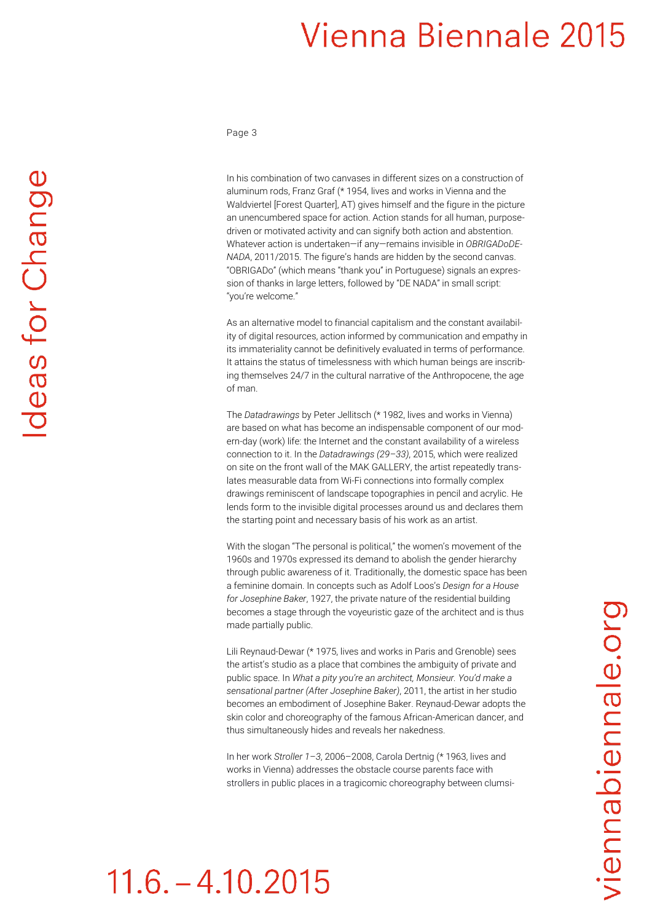Page 3

In his combination of two canvases in different sizes on a construction of aluminum rods, Franz Graf (\* 1954, lives and works in Vienna and the Waldviertel [Forest Quarter], AT) gives himself and the figure in the picture an unencumbered space for action. Action stands for all human, purposedriven or motivated activity and can signify both action and abstention. Whatever action is undertaken—if any—remains invisible in *OBRIGADoDE-NADA*, 2011/2015. The figure's hands are hidden by the second canvas. "OBRIGADo" (which means "thank you" in Portuguese) signals an expression of thanks in large letters, followed by "DE NADA" in small script: "you're welcome."

As an alternative model to financial capitalism and the constant availability of digital resources, action informed by communication and empathy in its immateriality cannot be definitively evaluated in terms of performance. It attains the status of timelessness with which human beings are inscribing themselves 24/7 in the cultural narrative of the Anthropocene, the age of man.

The *Datadrawings* by Peter Jellitsch (\* 1982, lives and works in Vienna) are based on what has become an indispensable component of our modern-day (work) life: the Internet and the constant availability of a wireless connection to it. In the *Datadrawings (29–33)*, 2015, which were realized on site on the front wall of the MAK GALLERY, the artist repeatedly translates measurable data from Wi-Fi connections into formally complex drawings reminiscent of landscape topographies in pencil and acrylic. He lends form to the invisible digital processes around us and declares them the starting point and necessary basis of his work as an artist.

With the slogan "The personal is political," the women's movement of the 1960s and 1970s expressed its demand to abolish the gender hierarchy through public awareness of it. Traditionally, the domestic space has been a feminine domain. In concepts such as Adolf Loos's *Design for a House for Josephine Baker*, 1927, the private nature of the residential building becomes a stage through the voyeuristic gaze of the architect and is thus made partially public.

Lili Reynaud-Dewar (\* 1975, lives and works in Paris and Grenoble) sees the artist's studio as a place that combines the ambiguity of private and public space. In *What a pity you're an architect, Monsieur. You'd make a sensational partner (After Josephine Baker)*, 2011, the artist in her studio becomes an embodiment of Josephine Baker. Reynaud-Dewar adopts the skin color and choreography of the famous African-American dancer, and thus simultaneously hides and reveals her nakedness.

In her work *Stroller 1–3*, 2006–2008, Carola Dertnig (\* 1963, lives and works in Vienna) addresses the obstacle course parents face with strollers in public places in a tragicomic choreography between clumsi-

# $11.6 - 4.10.2015$

deas for Change